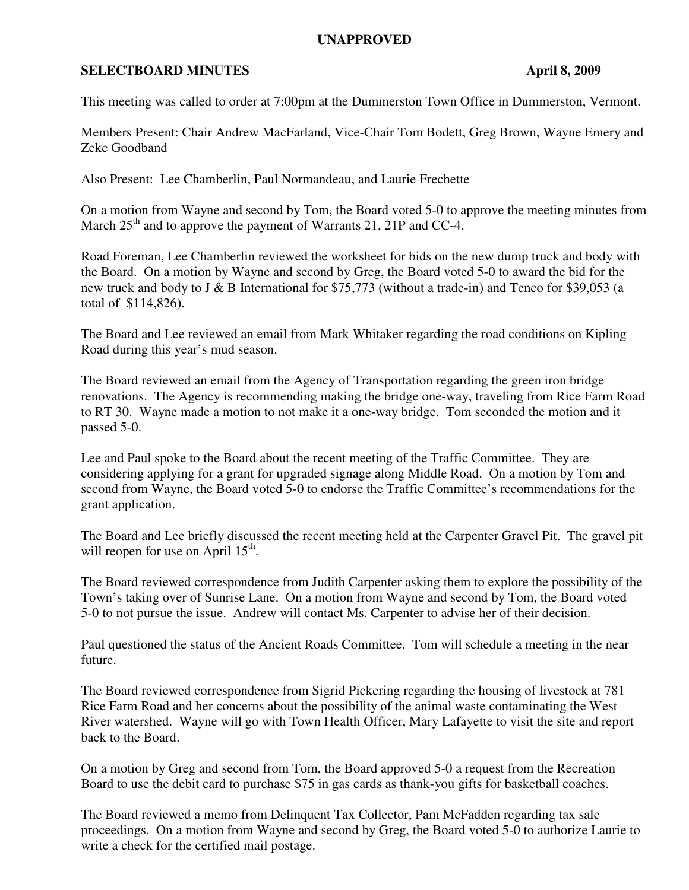## **UNAPPROVED**

## **SELECTBOARD MINUTES** April 8, 2009

This meeting was called to order at 7:00pm at the Dummerston Town Office in Dummerston, Vermont.

Members Present: Chair Andrew MacFarland, Vice-Chair Tom Bodett, Greg Brown, Wayne Emery and Zeke Goodband

Also Present: Lee Chamberlin, Paul Normandeau, and Laurie Frechette

On a motion from Wayne and second by Tom, the Board voted 5-0 to approve the meeting minutes from March  $25<sup>th</sup>$  and to approve the payment of Warrants 21, 21P and CC-4.

Road Foreman, Lee Chamberlin reviewed the worksheet for bids on the new dump truck and body with the Board. On a motion by Wayne and second by Greg, the Board voted 5-0 to award the bid for the new truck and body to J & B International for \$75,773 (without a trade-in) and Tenco for \$39,053 (a total of \$114,826).

The Board and Lee reviewed an email from Mark Whitaker regarding the road conditions on Kipling Road during this year's mud season.

The Board reviewed an email from the Agency of Transportation regarding the green iron bridge renovations. The Agency is recommending making the bridge one-way, traveling from Rice Farm Road to RT 30. Wayne made a motion to not make it a one-way bridge. Tom seconded the motion and it passed 5-0.

Lee and Paul spoke to the Board about the recent meeting of the Traffic Committee. They are considering applying for a grant for upgraded signage along Middle Road. On a motion by Tom and second from Wayne, the Board voted 5-0 to endorse the Traffic Committee's recommendations for the grant application.

The Board and Lee briefly discussed the recent meeting held at the Carpenter Gravel Pit. The gravel pit will reopen for use on April 15<sup>th</sup>.

The Board reviewed correspondence from Judith Carpenter asking them to explore the possibility of the Town's taking over of Sunrise Lane. On a motion from Wayne and second by Tom, the Board voted 5-0 to not pursue the issue. Andrew will contact Ms. Carpenter to advise her of their decision.

Paul questioned the status of the Ancient Roads Committee. Tom will schedule a meeting in the near future.

The Board reviewed correspondence from Sigrid Pickering regarding the housing of livestock at 781 Rice Farm Road and her concerns about the possibility of the animal waste contaminating the West River watershed. Wayne will go with Town Health Officer, Mary Lafayette to visit the site and report back to the Board.

On a motion by Greg and second from Tom, the Board approved 5-0 a request from the Recreation Board to use the debit card to purchase \$75 in gas cards as thank-you gifts for basketball coaches.

The Board reviewed a memo from Delinquent Tax Collector, Pam McFadden regarding tax sale proceedings. On a motion from Wayne and second by Greg, the Board voted 5-0 to authorize Laurie to write a check for the certified mail postage.